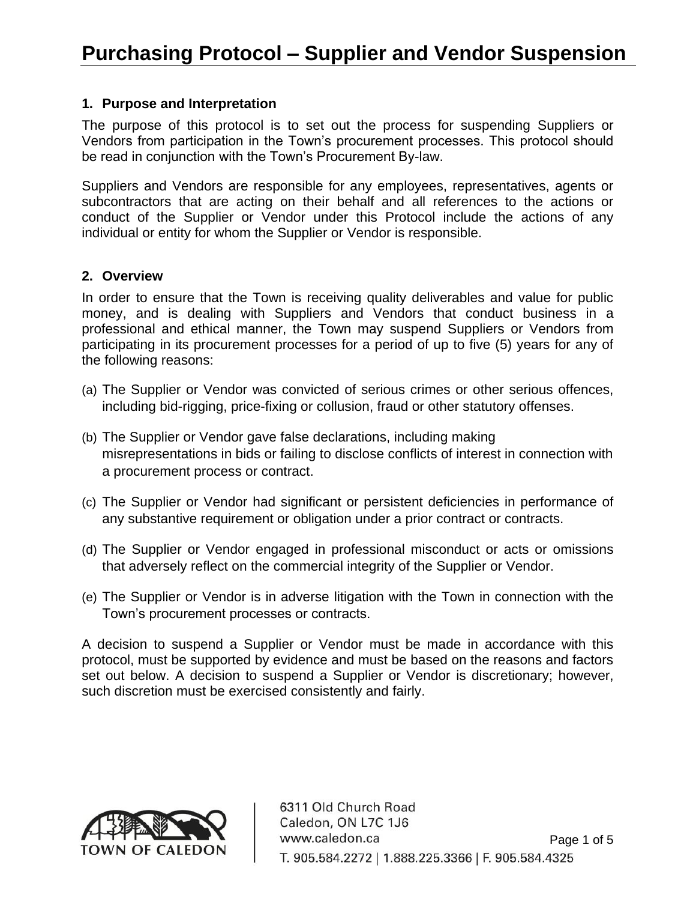#### **1. Purpose and Interpretation**

The purpose of this protocol is to set out the process for suspending Suppliers or Vendors from participation in the Town's procurement processes. This protocol should be read in conjunction with the Town's Procurement By-law.

Suppliers and Vendors are responsible for any employees, representatives, agents or subcontractors that are acting on their behalf and all references to the actions or conduct of the Supplier or Vendor under this Protocol include the actions of any individual or entity for whom the Supplier or Vendor is responsible.

#### **2. Overview**

In order to ensure that the Town is receiving quality deliverables and value for public money, and is dealing with Suppliers and Vendors that conduct business in a professional and ethical manner, the Town may suspend Suppliers or Vendors from participating in its procurement processes for a period of up to five (5) years for any of the following reasons:

- (a) The Supplier or Vendor was convicted of serious crimes or other serious offences, including bid-rigging, price-fixing or collusion, fraud or other statutory offenses.
- (b) The Supplier or Vendor gave false declarations, including making misrepresentations in bids or failing to disclose conflicts of interest in connection with a procurement process or contract.
- (c) The Supplier or Vendor had significant or persistent deficiencies in performance of any substantive requirement or obligation under a prior contract or contracts.
- (d) The Supplier or Vendor engaged in professional misconduct or acts or omissions that adversely reflect on the commercial integrity of the Supplier or Vendor.
- (e) The Supplier or Vendor is in adverse litigation with the Town in connection with the Town's procurement processes or contracts.

A decision to suspend a Supplier or Vendor must be made in accordance with this protocol, must be supported by evidence and must be based on the reasons and factors set out below. A decision to suspend a Supplier or Vendor is discretionary; however, such discretion must be exercised consistently and fairly.



6311 Old Church Road Caledon, ON L7C 1J6 www.caledon.ca Page 1 of 5 T. 905.584.2272 | 1.888.225.3366 | F. 905.584.4325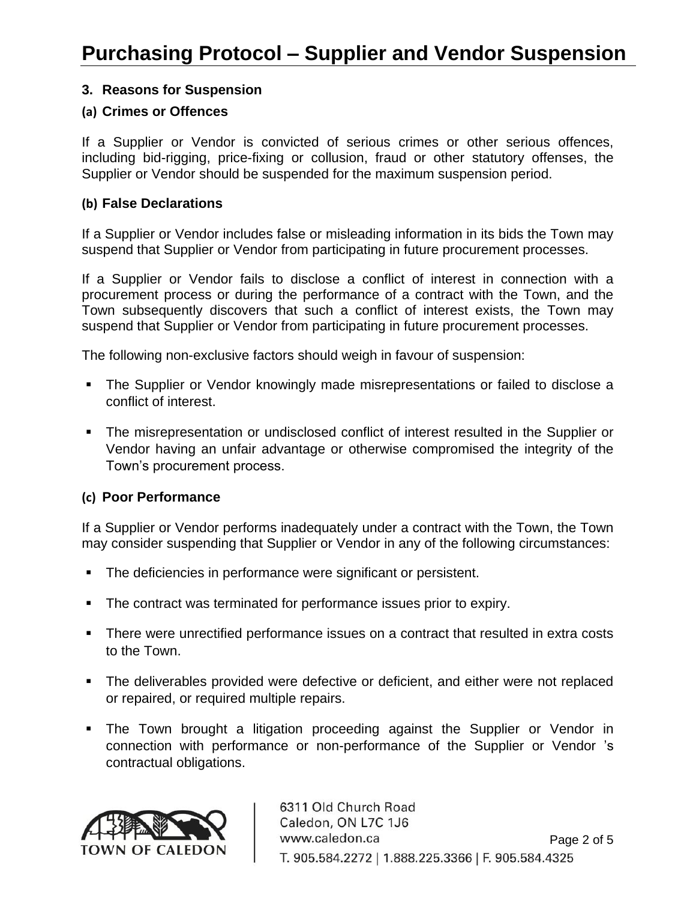## **3. Reasons for Suspension**

#### **(a) Crimes or Offences**

If a Supplier or Vendor is convicted of serious crimes or other serious offences, including bid-rigging, price-fixing or collusion, fraud or other statutory offenses, the Supplier or Vendor should be suspended for the maximum suspension period.

#### **(b) False Declarations**

If a Supplier or Vendor includes false or misleading information in its bids the Town may suspend that Supplier or Vendor from participating in future procurement processes.

If a Supplier or Vendor fails to disclose a conflict of interest in connection with a procurement process or during the performance of a contract with the Town, and the Town subsequently discovers that such a conflict of interest exists, the Town may suspend that Supplier or Vendor from participating in future procurement processes.

The following non-exclusive factors should weigh in favour of suspension:

- The Supplier or Vendor knowingly made misrepresentations or failed to disclose a conflict of interest.
- The misrepresentation or undisclosed conflict of interest resulted in the Supplier or Vendor having an unfair advantage or otherwise compromised the integrity of the Town's procurement process.

## **(c) Poor Performance**

If a Supplier or Vendor performs inadequately under a contract with the Town, the Town may consider suspending that Supplier or Vendor in any of the following circumstances:

- The deficiencies in performance were significant or persistent.
- The contract was terminated for performance issues prior to expiry.
- There were unrectified performance issues on a contract that resulted in extra costs to the Town.
- **The deliverables provided were defective or deficient, and either were not replaced** or repaired, or required multiple repairs.
- **•** The Town brought a litigation proceeding against the Supplier or Vendor in connection with performance or non-performance of the Supplier or Vendor 's contractual obligations.

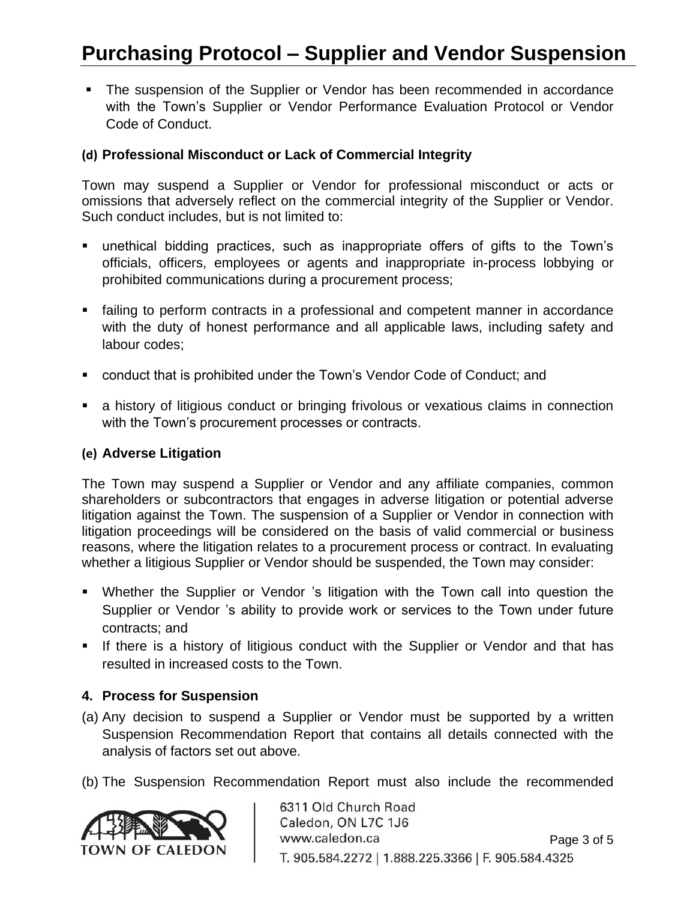## **Purchasing Protocol – Supplier and Vendor Suspension**

■ The suspension of the Supplier or Vendor has been recommended in accordance with the Town's Supplier or Vendor Performance Evaluation Protocol or Vendor Code of Conduct.

## **(d) Professional Misconduct or Lack of Commercial Integrity**

Town may suspend a Supplier or Vendor for professional misconduct or acts or omissions that adversely reflect on the commercial integrity of the Supplier or Vendor. Such conduct includes, but is not limited to:

- unethical bidding practices, such as inappropriate offers of gifts to the Town's officials, officers, employees or agents and inappropriate in-process lobbying or prohibited communications during a procurement process;
- failing to perform contracts in a professional and competent manner in accordance with the duty of honest performance and all applicable laws, including safety and labour codes;
- conduct that is prohibited under the Town's Vendor Code of Conduct: and
- **E** a history of litigious conduct or bringing frivolous or vexatious claims in connection with the Town's procurement processes or contracts.

#### **(e) Adverse Litigation**

The Town may suspend a Supplier or Vendor and any affiliate companies, common shareholders or subcontractors that engages in adverse litigation or potential adverse litigation against the Town. The suspension of a Supplier or Vendor in connection with litigation proceedings will be considered on the basis of valid commercial or business reasons, where the litigation relates to a procurement process or contract. In evaluating whether a litigious Supplier or Vendor should be suspended, the Town may consider:

- Whether the Supplier or Vendor 's litigation with the Town call into question the Supplier or Vendor 's ability to provide work or services to the Town under future contracts; and
- **EXT** If there is a history of litigious conduct with the Supplier or Vendor and that has resulted in increased costs to the Town.

## **4. Process for Suspension**

- (a) Any decision to suspend a Supplier or Vendor must be supported by a written Suspension Recommendation Report that contains all details connected with the analysis of factors set out above.
- (b) The Suspension Recommendation Report must also include the recommended



6311 Old Church Road Caledon, ON L7C 1J6 www.caledon.ca Page 3 of 5 T. 905.584.2272 | 1.888.225.3366 | F. 905.584.4325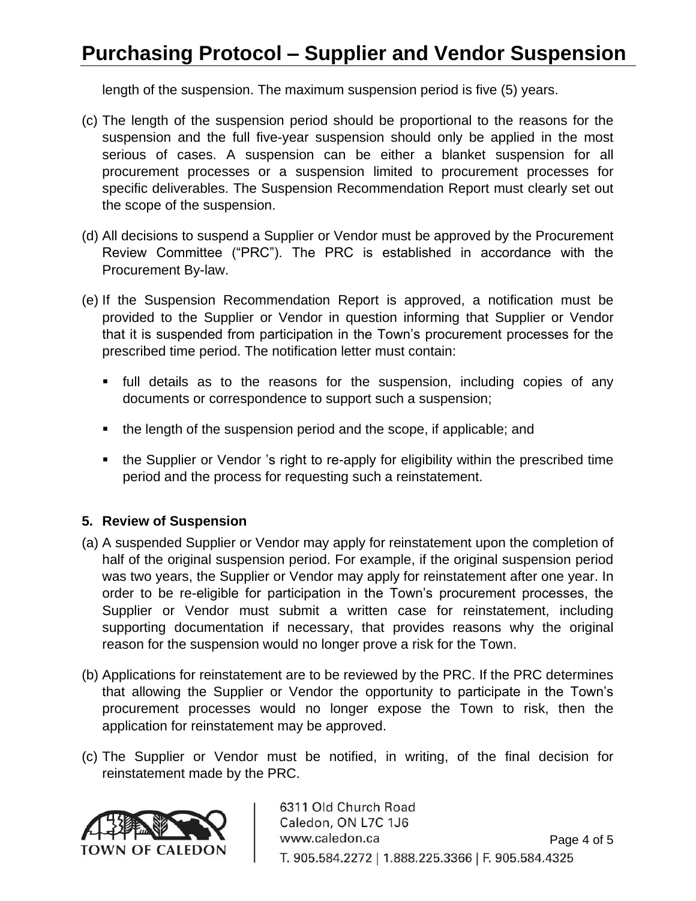## **Purchasing Protocol – Supplier and Vendor Suspension**

length of the suspension. The maximum suspension period is five (5) years.

- (c) The length of the suspension period should be proportional to the reasons for the suspension and the full five-year suspension should only be applied in the most serious of cases. A suspension can be either a blanket suspension for all procurement processes or a suspension limited to procurement processes for specific deliverables. The Suspension Recommendation Report must clearly set out the scope of the suspension.
- (d) All decisions to suspend a Supplier or Vendor must be approved by the Procurement Review Committee ("PRC"). The PRC is established in accordance with the Procurement By-law.
- (e) If the Suspension Recommendation Report is approved, a notification must be provided to the Supplier or Vendor in question informing that Supplier or Vendor that it is suspended from participation in the Town's procurement processes for the prescribed time period. The notification letter must contain:
	- **•** full details as to the reasons for the suspension, including copies of any documents or correspondence to support such a suspension;
	- the length of the suspension period and the scope, if applicable; and
	- the Supplier or Vendor 's right to re-apply for eligibility within the prescribed time period and the process for requesting such a reinstatement.

## **5. Review of Suspension**

- (a) A suspended Supplier or Vendor may apply for reinstatement upon the completion of half of the original suspension period. For example, if the original suspension period was two years, the Supplier or Vendor may apply for reinstatement after one year. In order to be re-eligible for participation in the Town's procurement processes, the Supplier or Vendor must submit a written case for reinstatement, including supporting documentation if necessary, that provides reasons why the original reason for the suspension would no longer prove a risk for the Town.
- (b) Applications for reinstatement are to be reviewed by the PRC. If the PRC determines that allowing the Supplier or Vendor the opportunity to participate in the Town's procurement processes would no longer expose the Town to risk, then the application for reinstatement may be approved.
- (c) The Supplier or Vendor must be notified, in writing, of the final decision for reinstatement made by the PRC.